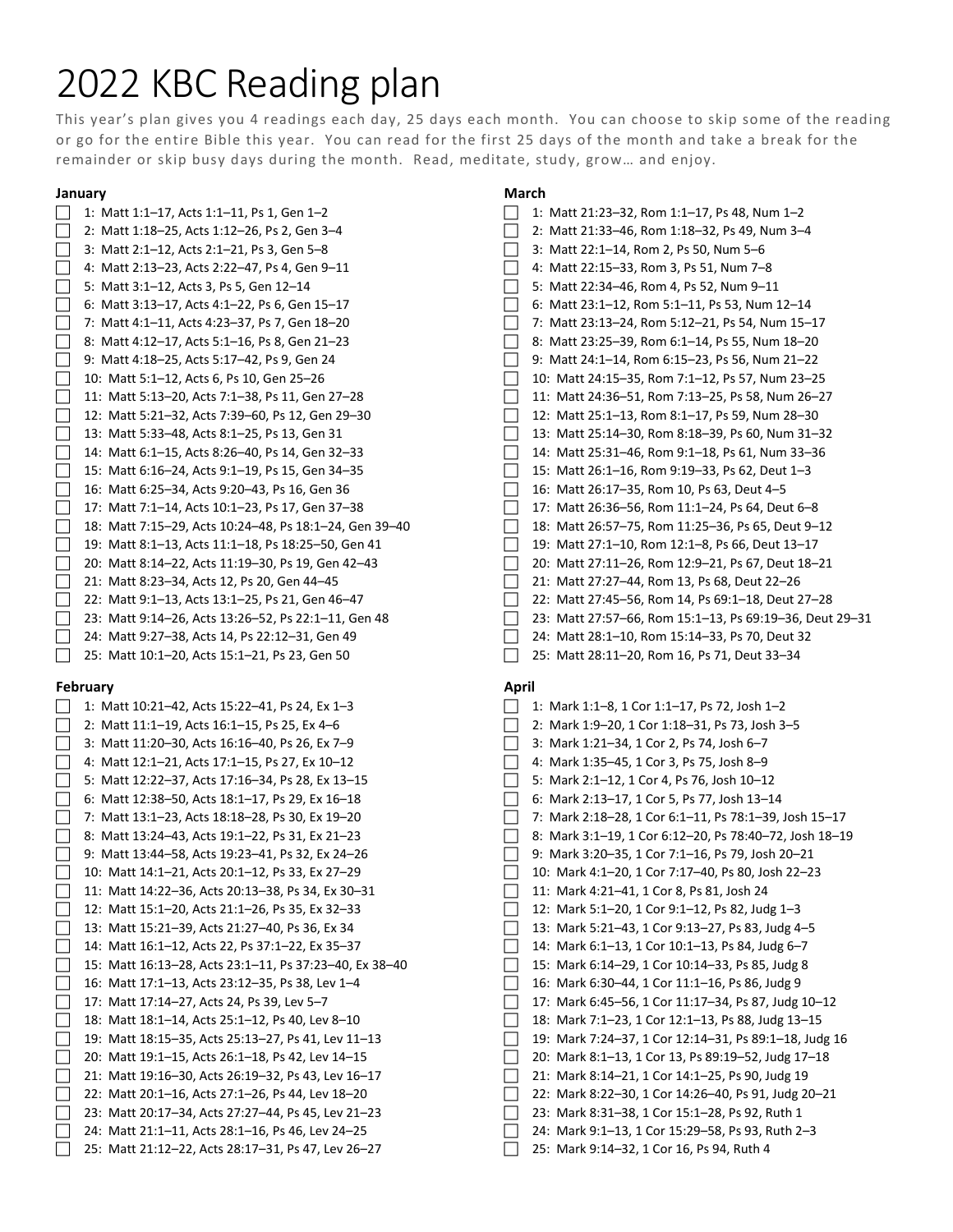# 2022 KBC Reading plan

This year's plan gives you 4 readings each day, 25 days each month. You can choose to skip some of the reading or go for the entire Bible this year. You can read for the first 25 days of the month and take a break for the remainder or skip busy days during the month. Read, meditate, study, grow… and enjoy.

# **January**

 1: Matt 1:1–17, Acts 1:1–11, Ps 1, Gen 1–2 2: Matt 1:18–25, Acts 1:12–26, Ps 2, Gen 3–4  $\Box$  3: Matt 2:1-12, Acts 2:1-21, Ps 3, Gen 5-8  $\Box$  4: Matt 2:13-23, Acts 2:22-47, Ps 4, Gen 9-11  $\Box$  5: Matt 3:1-12, Acts 3, Ps 5, Gen 12-14 6: Matt 3:13–17, Acts 4:1–22, Ps 6, Gen 15–17  $\Box$  7: Matt 4:1-11, Acts 4:23-37, Ps 7, Gen 18-20 8: Matt 4:12–17, Acts 5:1–16, Ps 8, Gen 21–23 9: Matt 4:18–25, Acts 5:17–42, Ps 9, Gen 24 10: Matt 5:1-12, Acts 6, Ps 10, Gen 25-26  $\Box$  11: Matt 5:13–20, Acts 7:1–38, Ps 11, Gen 27–28 12: Matt 5:21-32, Acts 7:39-60, Ps 12, Gen 29-30 13: Matt 5:33–48, Acts 8:1–25, Ps 13, Gen 31 14: Matt 6:1-15, Acts 8:26-40, Ps 14, Gen 32-33 15: Matt 6:16–24, Acts 9:1–19, Ps 15, Gen 34–35  $\Box$  16: Matt 6:25–34, Acts 9:20–43, Ps 16, Gen 36  $\Box$  17: Matt 7:1–14, Acts 10:1–23, Ps 17, Gen 37–38 18: Matt 7:15–29, Acts 10:24–48, Ps 18:1–24, Gen 39–40 19: Matt 8:1–13, Acts 11:1–18, Ps 18:25–50, Gen 41  $\Box$  20: Matt 8:14-22, Acts 11:19-30, Ps 19, Gen 42-43  $\Box$  21: Matt 8:23-34, Acts 12, Ps 20, Gen 44-45 22: Matt 9:1-13, Acts 13:1-25, Ps 21, Gen 46-47  $\Box$  23: Matt 9:14-26, Acts 13:26-52, Ps 22:1-11, Gen 48  $\Box$  24: Matt 9:27–38, Acts 14, Ps 22:12–31, Gen 49  $\Box$  25: Matt 10:1-20, Acts 15:1-21, Ps 23, Gen 50

# **February**

1: Matt 10:21-42, Acts 15:22-41, Ps 24, Ex 1-3 2: Matt 11:1-19, Acts 16:1-15, Ps 25, Ex 4-6  $\Box$  3: Matt 11:20-30, Acts 16:16-40, Ps 26, Ex 7-9  $\Box$  4: Matt 12:1-21, Acts 17:1-15, Ps 27, Ex 10-12 5: Matt 12:22–37, Acts 17:16–34, Ps 28, Ex 13–15  $\Box$  6: Matt 12:38–50, Acts 18:1–17, Ps 29, Ex 16–18  $\Box$  7: Matt 13:1-23, Acts 18:18-28, Ps 30, Ex 19-20 8: Matt 13:24-43, Acts 19:1-22, Ps 31, Ex 21-23  $\Box$  9: Matt 13:44–58, Acts 19:23–41, Ps 32, Ex 24–26 10: Matt 14:1-21, Acts 20:1-12, Ps 33, Ex 27-29 11: Matt 14:22–36, Acts 20:13–38, Ps 34, Ex 30–31 12: Matt 15:1-20, Acts 21:1-26, Ps 35, Ex 32-33 13: Matt 15:21–39, Acts 21:27–40, Ps 36, Ex 34  $\Box$  14: Matt 16:1–12, Acts 22, Ps 37:1–22, Ex 35–37 15: Matt 16:13–28, Acts 23:1–11, Ps 37:23–40, Ex 38–40 16: Matt 17:1-13, Acts 23:12-35, Ps 38, Lev 1-4 17: Matt 17:14-27, Acts 24, Ps 39, Lev 5-7 18: Matt  $18:1-14$ , Acts  $25:1-12$ , Ps 40, Lev 8-10 19: Matt 18:15–35, Acts 25:13–27, Ps 41, Lev 11–13 20: Matt 19:1-15, Acts 26:1-18, Ps 42, Lev 14-15 21: Matt 19:16–30, Acts 26:19–32, Ps 43, Lev 16–17  $\Box$  22: Matt 20:1-16, Acts 27:1-26, Ps 44, Lev 18-20  $\Box$  23: Matt 20:17-34, Acts 27:27-44, Ps 45, Lev 21-23 24: Matt 21:1–11, Acts 28:1–16, Ps 46, Lev 24–25  $\Box$  25: Matt 21:12-22, Acts 28:17-31, Ps 47, Lev 26-27

# **March**

| 1: Matt 21:23-32, Rom 1:1-17, Ps 48, Num 1-2            |
|---------------------------------------------------------|
| 2: Matt 21:33-46, Rom 1:18-32, Ps 49, Num 3-4           |
| 3: Matt 22:1–14, Rom 2, Ps 50, Num 5–6                  |
| 4: Matt 22:15-33, Rom 3, Ps 51, Num 7-8                 |
| 5: Matt 22:34-46, Rom 4, Ps 52, Num 9-11                |
| 6: Matt 23:1-12, Rom 5:1-11, Ps 53, Num 12-14           |
| 7: Matt 23:13-24, Rom 5:12-21, Ps 54, Num 15-17         |
| 8: Matt 23:25–39, Rom 6:1–14, Ps 55, Num 18–20          |
| 9: Matt 24:1-14, Rom 6:15-23, Ps 56, Num 21-22          |
| 10: Matt 24:15-35, Rom 7:1-12, Ps 57, Num 23-25         |
| 11: Matt 24:36-51, Rom 7:13-25, Ps 58, Num 26-27        |
| 12: Matt 25:1-13, Rom 8:1-17, Ps 59, Num 28-30          |
| 13: Matt 25:14-30, Rom 8:18-39, Ps 60, Num 31-32        |
| 14: Matt 25:31-46, Rom 9:1-18, Ps 61, Num 33-36         |
| 15: Matt 26:1–16, Rom 9:19–33, Ps 62, Deut 1–3          |
| 16: Matt 26:17-35. Rom 10. Ps 63. Deut 4-5              |
| 17: Matt 26:36–56, Rom 11:1–24, Ps 64, Deut 6–8         |
| 18: Matt 26:57-75, Rom 11:25-36, Ps 65, Deut 9-12       |
| 19: Matt 27:1–10, Rom 12:1–8, Ps 66, Deut 13–17         |
| 20: Matt 27:11-26, Rom 12:9-21, Ps 67, Deut 18-21       |
| 21: Matt 27:27-44, Rom 13, Ps 68, Deut 22-26            |
| 22: Matt 27:45–56, Rom 14, Ps 69:1–18, Deut 27–28       |
| 23: Matt 27:57-66, Rom 15:1-13, Ps 69:19-36, Deut 29-31 |
| 24: Matt 28:1-10, Rom 15:14-33, Ps 70, Deut 32          |
|                                                         |

25: Matt 28:11–20, Rom 16, Ps 71, Deut 33–34

# **April**

| 1: Mark 1:1-8, 1 Cor 1:1-17, Ps 72, Josh 1-2           |
|--------------------------------------------------------|
| 2: Mark 1:9-20, 1 Cor 1:18-31, Ps 73, Josh 3-5         |
| 3: Mark 1:21-34, 1 Cor 2, Ps 74, Josh 6-7              |
| 4: Mark 1:35-45, 1 Cor 3, Ps 75, Josh 8-9              |
| 5: Mark 2:1-12, 1 Cor 4, Ps 76, Josh 10-12             |
| 6: Mark 2:13-17, 1 Cor 5, Ps 77, Josh 13-14            |
| 7: Mark 2:18-28, 1 Cor 6:1-11, Ps 78:1-39, Josh 15-17  |
| 8: Mark 3:1-19, 1 Cor 6:12-20, Ps 78:40-72, Josh 18-19 |
| 9: Mark 3:20-35, 1 Cor 7:1-16, Ps 79, Josh 20-21       |
| 10: Mark 4:1-20, 1 Cor 7:17-40, Ps 80, Josh 22-23      |
| 11: Mark 4:21-41, 1 Cor 8, Ps 81, Josh 24              |
| 12: Mark 5:1-20, 1 Cor 9:1-12, Ps 82, Judg 1-3         |
| 13: Mark 5:21-43, 1 Cor 9:13-27, Ps 83, Judg 4-5       |
| 14: Mark 6:1-13, 1 Cor 10:1-13, Ps 84, Judg 6-7        |
| 15: Mark 6:14-29, 1 Cor 10:14-33, Ps 85, Judg 8        |
| 16: Mark 6:30-44, 1 Cor 11:1-16, Ps 86, Judg 9         |
| 17: Mark 6:45-56, 1 Cor 11:17-34, Ps 87, Judg 10-12    |
| 18: Mark 7:1-23, 1 Cor 12:1-13, Ps 88, Judg 13-15      |
| 19: Mark 7:24-37, 1 Cor 12:14-31, Ps 89:1-18, Judg 16  |
| 20: Mark 8:1-13, 1 Cor 13, Ps 89:19-52, Judg 17-18     |
| 21: Mark 8:14-21, 1 Cor 14:1-25, Ps 90, Judg 19        |
| 22: Mark 8:22-30, 1 Cor 14:26-40, Ps 91, Judg 20-21    |
| 23: Mark 8:31-38, 1 Cor 15:1-28, Ps 92, Ruth 1         |
| 24: Mark 9:1-13, 1 Cor 15:29-58, Ps 93, Ruth 2-3       |
| 25: Mark 9:14-32, 1 Cor 16, Ps 94, Ruth 4              |
|                                                        |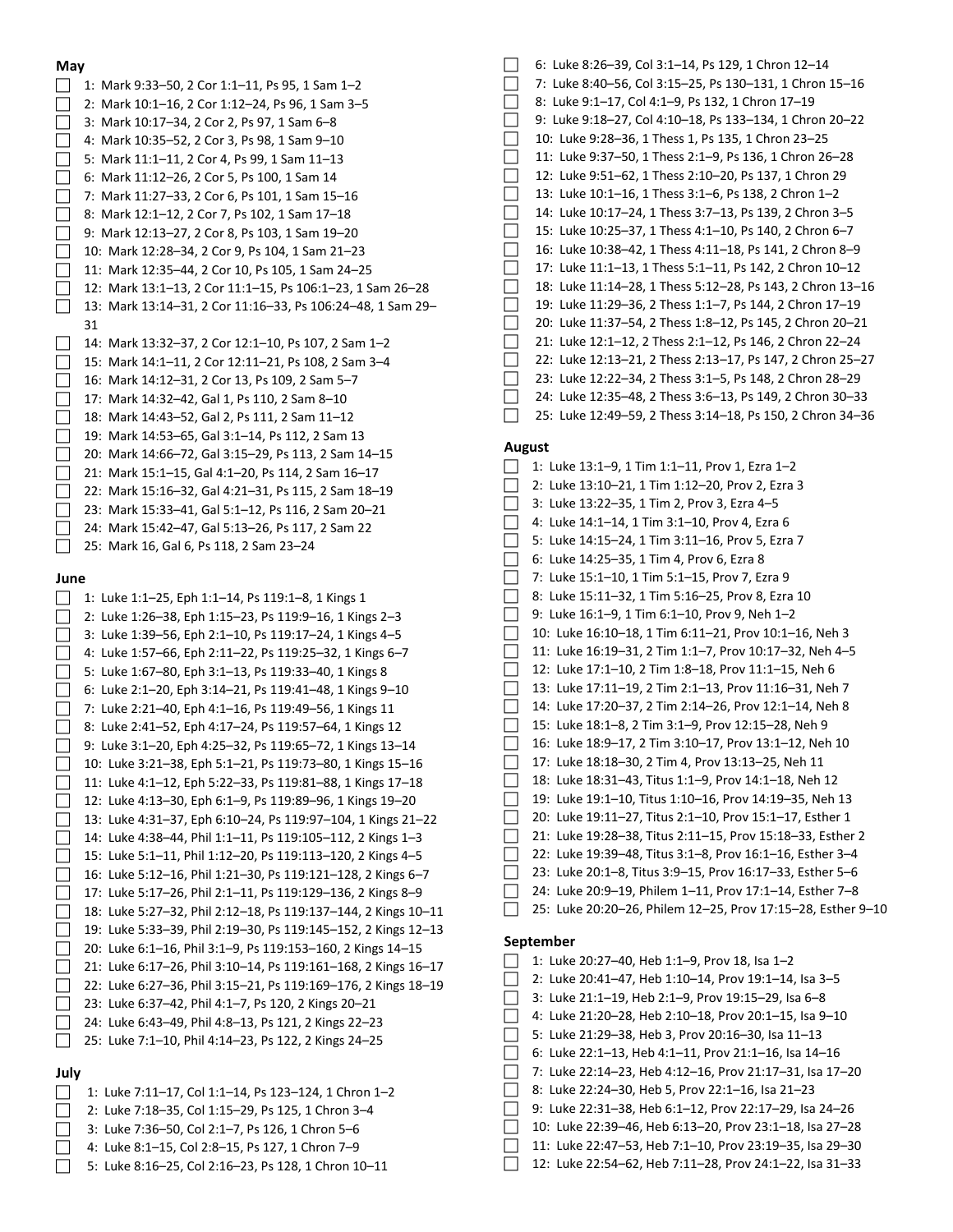### **May**

1: Mark 9:33-50, 2 Cor 1:1-11, Ps 95, 1 Sam 1-2 2: Mark 10:1–16, 2 Cor 1:12–24, Ps 96, 1 Sam 3–5 3: Mark 10:17–34, 2 Cor 2, Ps 97, 1 Sam 6–8 4: Mark 10:35–52, 2 Cor 3, Ps 98, 1 Sam 9–10  $\Box$  5: Mark 11:1-11, 2 Cor 4, Ps 99, 1 Sam 11-13 6: Mark 11:12–26, 2 Cor 5, Ps 100, 1 Sam 14 7: Mark 11:27-33, 2 Cor 6, Ps 101, 1 Sam 15-16 8: Mark 12:1–12, 2 Cor 7, Ps 102, 1 Sam 17–18 9: Mark 12:13–27, 2 Cor 8, Ps 103, 1 Sam 19–20 10: Mark 12:28-34, 2 Cor 9, Ps 104, 1 Sam 21-23 11: Mark 12:35–44, 2 Cor 10, Ps 105, 1 Sam 24–25 12: Mark 13:1–13, 2 Cor 11:1–15, Ps 106:1–23, 1 Sam 26–28 13: Mark 13:14-31, 2 Cor 11:16-33, Ps 106:24-48, 1 Sam 29-31 14: Mark 13:32–37, 2 Cor 12:1–10, Ps 107, 2 Sam 1–2 15: Mark  $14:1-11$ , 2 Cor 12:11-21, Ps 108, 2 Sam 3-4  $\Box$  16: Mark 14:12-31, 2 Cor 13, Ps 109, 2 Sam 5-7  $\Box$  17: Mark 14:32-42, Gal 1, Ps 110, 2 Sam 8-10 18: Mark 14:43–52, Gal 2, Ps 111, 2 Sam 11–12 19: Mark 14:53–65, Gal 3:1–14, Ps 112, 2 Sam 13  $\Box$  20: Mark 14:66-72, Gal 3:15-29, Ps 113, 2 Sam 14-15  $\Box$  21: Mark 15:1-15, Gal 4:1-20, Ps 114, 2 Sam 16-17  $\Box$  22: Mark 15:16-32, Gal 4:21-31, Ps 115, 2 Sam 18-19 23: Mark 15:33-41, Gal 5:1-12, Ps 116, 2 Sam 20-21 24: Mark 15:42–47, Gal 5:13–26, Ps 117, 2 Sam 22 25: Mark 16, Gal 6, Ps 118, 2 Sam 23–24 **June**

1: Luke 1:1-25, Eph 1:1-14, Ps 119:1-8, 1 Kings 1 2: Luke 1:26-38, Eph 1:15-23, Ps 119:9-16, 1 Kings 2-3 3: Luke 1:39–56, Eph 2:1–10, Ps 119:17–24, 1 Kings 4–5  $\Box$  4: Luke 1:57–66, Eph 2:11–22, Ps 119:25–32, 1 Kings 6–7 5: Luke 1:67–80, Eph 3:1–13, Ps 119:33–40, 1 Kings 8 6: Luke 2:1-20, Eph 3:14-21, Ps 119:41-48, 1 Kings 9-10 7: Luke 2:21-40, Eph 4:1-16, Ps 119:49-56, 1 Kings 11 8: Luke 2:41–52, Eph 4:17–24, Ps 119:57–64, 1 Kings 12 9: Luke 3:1–20, Eph 4:25–32, Ps 119:65–72, 1 Kings 13–14 10: Luke 3:21-38, Eph 5:1-21, Ps 119:73-80, 1 Kings 15-16 11: Luke 4:1–12, Eph 5:22–33, Ps 119:81–88, 1 Kings 17–18 12: Luke 4:13–30, Eph 6:1–9, Ps 119:89–96, 1 Kings 19–20 13: Luke 4:31–37, Eph 6:10–24, Ps 119:97–104, 1 Kings 21–22 14: Luke 4:38-44, Phil 1:1-11, Ps 119:105-112, 2 Kings 1-3 15: Luke 5:1–11, Phil 1:12–20, Ps 119:113–120, 2 Kings 4–5 16: Luke 5:12-16, Phil 1:21-30, Ps 119:121-128, 2 Kings 6-7 17: Luke 5:17–26, Phil 2:1–11, Ps 119:129–136, 2 Kings 8–9 18: Luke 5:27–32, Phil 2:12–18, Ps 119:137–144, 2 Kings 10–11 19: Luke 5:33-39, Phil 2:19-30, Ps 119:145-152, 2 Kings 12-13  $\Box$  20: Luke 6:1-16, Phil 3:1-9, Ps 119:153-160, 2 Kings 14-15 21: Luke 6:17–26, Phil 3:10–14, Ps 119:161–168, 2 Kings 16–17 22: Luke 6:27–36, Phil 3:15–21, Ps 119:169–176, 2 Kings 18–19 23: Luke 6:37-42, Phil 4:1-7, Ps 120, 2 Kings 20-21 24: Luke 6:43–49, Phil 4:8–13, Ps 121, 2 Kings 22–23 25: Luke 7:1-10, Phil 4:14-23, Ps 122, 2 Kings 24-25

# **July**

|              | 1: Luke 7:11-17, Col 1:1-14, Ps 123-124, 1 Chron 1-2 |
|--------------|------------------------------------------------------|
| $\mathsf{L}$ | 2: Luke 7:18-35, Col 1:15-29, Ps 125, 1 Chron 3-4    |
| $\Box$       | 3: Luke 7:36-50, Col 2:1-7, Ps 126, 1 Chron 5-6      |
|              | 4: Luke 8:1-15, Col 2:8-15, Ps 127, 1 Chron 7-9      |

| 6: Luke 8:26-39, Col 3:1-14, Ps 129, 1 Chron 12-14        |
|-----------------------------------------------------------|
| 7: Luke 8:40-56, Col 3:15-25, Ps 130-131, 1 Chron 15-16   |
| 8: Luke 9:1-17, Col 4:1-9, Ps 132, 1 Chron 17-19          |
| 9: Luke 9:18-27, Col 4:10-18, Ps 133-134, 1 Chron 20-22   |
| 10: Luke 9:28-36, 1 Thess 1, Ps 135, 1 Chron 23-25        |
| 11: Luke 9:37-50, 1 Thess 2:1-9, Ps 136, 1 Chron 26-28    |
| 12: Luke 9:51–62, 1 Thess 2:10–20, Ps 137, 1 Chron 29     |
| 13: Luke 10:1-16, 1 Thess 3:1-6, Ps 138, 2 Chron 1-2      |
| 14: Luke 10:17–24, 1 Thess 3:7–13, Ps 139, 2 Chron 3–5    |
| 15: Luke 10:25-37, 1 Thess 4:1-10, Ps 140, 2 Chron 6-7    |
| 16: Luke 10:38-42, 1 Thess 4:11-18, Ps 141, 2 Chron 8-9   |
| 17: Luke 11:1-13, 1 Thess 5:1-11, Ps 142, 2 Chron 10-12   |
| 18: Luke 11:14-28, 1 Thess 5:12-28, Ps 143, 2 Chron 13-16 |
| 19: Luke 11:29–36, 2 Thess 1:1–7, Ps 144, 2 Chron 17–19   |
| 20: Luke 11:37-54, 2 Thess 1:8-12, Ps 145, 2 Chron 20-21  |
| 21: Luke 12:1-12, 2 Thess 2:1-12, Ps 146, 2 Chron 22-24   |
| 22: Luke 12:13-21, 2 Thess 2:13-17, Ps 147, 2 Chron 25-27 |
| 23: Luke 12:22-34, 2 Thess 3:1-5, Ps 148, 2 Chron 28-29   |
| 24: Luke 12:35-48, 2 Thess 3:6-13, Ps 149, 2 Chron 30-33  |
| 25: Luke 12:49-59, 2 Thess 3:14-18, Ps 150, 2 Chron 34-36 |

# **August**

| 1: Luke 13:1-9, 1 Tim 1:1-11, Prov 1, Ezra 1-2              |
|-------------------------------------------------------------|
| 2: Luke 13:10-21, 1 Tim 1:12-20, Prov 2, Ezra 3             |
| 3: Luke 13:22-35, 1 Tim 2, Prov 3, Ezra 4-5                 |
| 4: Luke 14:1-14, 1 Tim 3:1-10, Prov 4, Ezra 6               |
| 5: Luke 14:15-24, 1 Tim 3:11-16, Prov 5, Ezra 7             |
| 6: Luke 14:25-35, 1 Tim 4, Prov 6, Ezra 8                   |
| 7: Luke 15:1-10, 1 Tim 5:1-15, Prov 7, Ezra 9               |
| 8: Luke 15:11-32, 1 Tim 5:16-25, Prov 8, Ezra 10            |
| 9: Luke 16:1-9, 1 Tim 6:1-10, Prov 9, Neh 1-2               |
| 10: Luke 16:10-18, 1 Tim 6:11-21, Prov 10:1-16, Neh 3       |
| 11: Luke 16:19–31, 2 Tim 1:1–7, Prov 10:17–32, Neh 4–5      |
| 12: Luke 17:1-10, 2 Tim 1:8-18, Prov 11:1-15, Neh 6         |
| 13: Luke 17:11–19, 2 Tim 2:1–13, Prov 11:16–31, Neh 7       |
| 14: Luke 17:20-37, 2 Tim 2:14-26, Prov 12:1-14, Neh 8       |
| 15: Luke 18:1-8, 2 Tim 3:1-9, Prov 12:15-28, Neh 9          |
| 16: Luke 18:9-17, 2 Tim 3:10-17, Prov 13:1-12, Neh 10       |
| 17: Luke 18:18-30, 2 Tim 4, Prov 13:13-25, Neh 11           |
| 18: Luke 18:31–43, Titus 1:1–9, Prov 14:1–18, Neh 12        |
| 19: Luke 19:1-10, Titus 1:10-16, Prov 14:19-35, Neh 13      |
| 20: Luke 19:11-27, Titus 2:1-10, Prov 15:1-17, Esther 1     |
| 21: Luke 19:28-38, Titus 2:11-15, Prov 15:18-33, Esther 2   |
| 22: Luke 19:39-48, Titus 3:1-8, Prov 16:1-16, Esther 3-4    |
| 23: Luke 20:1-8, Titus 3:9-15, Prov 16:17-33, Esther 5-6    |
| 24: Luke 20:9-19, Philem 1-11, Prov 17:1-14, Esther 7-8     |
| 25: Luke 20:20-26, Philem 12-25, Prov 17:15-28, Esther 9-10 |

## **September**

| 1: Luke 20:27-40, Heb 1:1-9, Prov 18, Isa 1-2           |
|---------------------------------------------------------|
| 2: Luke 20:41-47, Heb 1:10-14, Prov 19:1-14, Isa 3-5    |
| 3: Luke 21:1-19, Heb 2:1-9, Prov 19:15-29, Isa 6-8      |
| 4: Luke 21:20-28, Heb 2:10-18, Prov 20:1-15, Isa 9-10   |
| 5: Luke 21:29-38, Heb 3, Prov 20:16-30, Isa 11-13       |
| 6: Luke 22:1-13, Heb 4:1-11, Prov 21:1-16, Isa 14-16    |
| 7: Luke 22:14-23, Heb 4:12-16, Prov 21:17-31, Isa 17-20 |
| 8: Luke 22:24-30, Heb 5, Prov 22:1-16, Isa 21-23        |
| 9: Luke 22:31-38, Heb 6:1-12, Prov 22:17-29, Isa 24-26  |
| 10: Luke 22:39-46, Heb 6:13-20, Prov 23:1-18, Isa 27-28 |
| 11: Luke 22:47-53, Heb 7:1-10, Prov 23:19-35, Isa 29-30 |
| 12: Luke 22:54-62, Heb 7:11-28, Prov 24:1-22, Isa 31-33 |